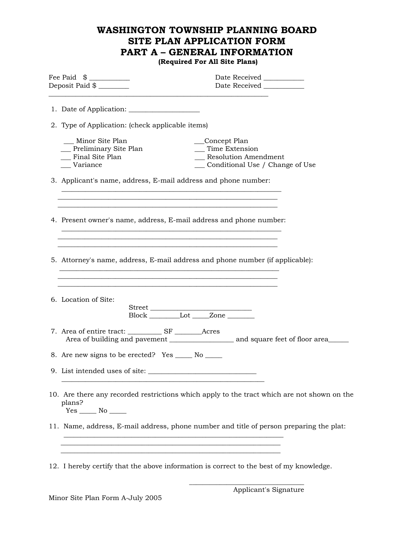# **WASHINGTON TOWNSHIP PLANNING BOARD SITE PLAN APPLICATION FORM PART A – GENERAL INFORMATION**

 **(Required For All Site Plans)** 

| Fee Paid \$ ___________<br>Deposit Paid \$ _______                                                                                | Date Received ___________                                                                       |  |
|-----------------------------------------------------------------------------------------------------------------------------------|-------------------------------------------------------------------------------------------------|--|
| 2. Type of Application: (check applicable items)                                                                                  |                                                                                                 |  |
| Minor Site Plan<br>__ Preliminary Site Plan<br>Final Site Plan<br>Variance                                                        | Concept Plan<br>__ Time Extension<br>Resolution Amendment<br>__ Conditional Use / Change of Use |  |
| 3. Applicant's name, address, E-mail address and phone number:                                                                    |                                                                                                 |  |
| 4. Present owner's name, address, E-mail address and phone number:<br><u> 1989 - Johann Stoff, amerikansk politiker (d. 1989)</u> |                                                                                                 |  |
| 5. Attorney's name, address, E-mail address and phone number (if applicable):                                                     |                                                                                                 |  |
| 6. Location of Site:                                                                                                              | Block Lot Zone                                                                                  |  |
|                                                                                                                                   |                                                                                                 |  |
| 8. Are new signs to be erected? Yes ______ No ______                                                                              |                                                                                                 |  |
| 9. List intended uses of site:                                                                                                    |                                                                                                 |  |
| 10. Are there any recorded restrictions which apply to the tract which are not shown on the<br>plans?                             |                                                                                                 |  |
|                                                                                                                                   | 11. Name, address, E-mail address, phone number and title of person preparing the plat:         |  |
|                                                                                                                                   | 12. I hereby certify that the above information is correct to the best of my knowledge.         |  |

 $\overline{\phantom{a}}$  , and the state of the state of the state of the state of the state of the state of the state of the state of the state of the state of the state of the state of the state of the state of the state of the stat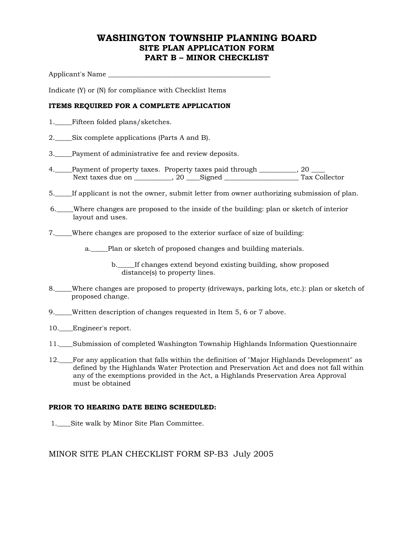### **WASHINGTON TOWNSHIP PLANNING BOARD SITE PLAN APPLICATION FORM PART B – MINOR CHECKLIST**

Applicant's Name

Indicate (Y) or (N) for compliance with Checklist Items

#### **ITEMS REQUIRED FOR A COMPLETE APPLICATION**

- 1.\_\_\_\_\_Fifteen folded plans/sketches.
- 2.\_\_\_\_\_Six complete applications (Parts A and B).
- 3. Payment of administrative fee and review deposits.
- 4.\_\_\_\_Payment of property taxes. Property taxes paid through \_\_\_\_\_\_\_\_\_, 20 \_ Next taxes due on \_\_\_\_\_\_\_\_\_\_\_, 20 \_\_\_\_Signed \_\_\_\_\_\_\_\_\_\_\_\_\_\_\_\_\_\_\_\_\_\_ Tax Collector
- 5.\_\_\_\_\_If applicant is not the owner, submit letter from owner authorizing submission of plan.
- 6.\_\_\_\_\_Where changes are proposed to the inside of the building: plan or sketch of interior layout and uses.
- 7.\_\_\_\_\_Where changes are proposed to the exterior surface of size of building:

a.\_\_\_\_\_Plan or sketch of proposed changes and building materials.

b. If changes extend beyond existing building, show proposed distance(s) to property lines.

- 8.\_\_\_\_\_Where changes are proposed to property (driveways, parking lots, etc.): plan or sketch of proposed change.
- 9.\_\_\_\_\_Written description of changes requested in Item 5, 6 or 7 above.
- 10. \_Engineer's report.
- 11.\_\_\_\_Submission of completed Washington Township Highlands Information Questionnaire
- 12.\_\_\_\_For any application that falls within the definition of "Major Highlands Development" as defined by the Highlands Water Protection and Preservation Act and does not fall within any of the exemptions provided in the Act, a Highlands Preservation Area Approval must be obtained

#### **PRIOR TO HEARING DATE BEING SCHEDULED:**

1.\_\_\_\_Site walk by Minor Site Plan Committee.

MINOR SITE PLAN CHECKLIST FORM SP-B3 July 2005